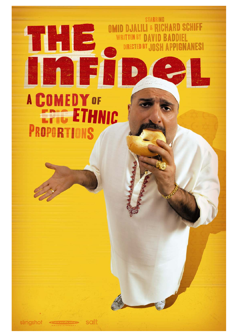# **A COMEDY OF** EFIG ETHNIC PROPORTIONS

this lie

**STARRING** 

**OMID DJALILI & RICHARD SCHIFF** 

DIRECTED BY JOSH APPIGNANESI

**WRITTEN BY DAVID BADDIEL** 

simgshot

salt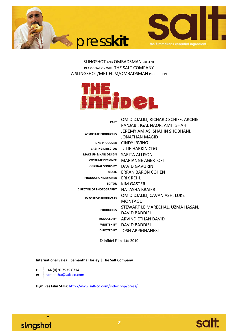



SLINGSHOT AND OMBADSMAN PRESENT IN ASSOCIATION WITH THE SALT COMPANY A SLINGSHOT/MET FILM/OMBADSMAN PRODUCTION



| <b>CAST</b>                      | OMID DJALILI, RICHARD SCHIFF, ARCHIE |
|----------------------------------|--------------------------------------|
|                                  | PANJABI, IGAL NAOR, AMIT SHAH        |
| <b>ASSOCIATE PRODUCERS</b>       | JEREMY AMIAS, SHAHIN SHOBHANI,       |
|                                  | <b>IONATHAN MAGID</b>                |
| LINE PRODUCER                    | CINDY IRVING                         |
| <b>CASTING DIRECTOR</b>          | JULIF HARKIN CDG                     |
| <b>MAKE UP &amp; HAIR DESIGN</b> | <b>SARITA ALLISON</b>                |
| <b>COSTUME DESIGNER</b>          | <b>MARIANNE AGERTOFT</b>             |
| <b>ORIGINAL SONGS BY</b>         | DAVID GAVURIN                        |
| <b>MUSIC</b>                     | ERRAN BARON COHEN                    |
| <b>PRODUCTION DESIGNER</b>       | <b>ERIK REHL</b>                     |
| <b>FDITOR</b>                    | KIM GASTFR                           |
| <b>DIRECTOR OF PHOTOGRAPHY</b>   | NATASHA BRAIFR                       |
| <b>EXECUTIVE PRODUCERS</b>       | OMID DJALILI, CAVAN ASH, LUKE        |
|                                  | MONTAGU                              |
| <b>PRODUCERS</b>                 | STEWART LE MARECHAL, UZMA HASAN,     |
|                                  | DAVID BADDIFL                        |
| <b>PRODUCED BY</b>               | ARVIND FTHAN DAVID                   |
| <b>WRITTEN BY</b>                | <b>DAVID BADDIFL</b>                 |
| <b>DIRECTED BY</b>               | <b>JOSH APPIGNANESI</b>              |

**©** Infidel Films Ltd 2010

**International Sales | Samantha Horley | The Salt Company**

**t:** +44 (0)20 7535 6714

**e:** samantha@salt‐co.com

**High Res Film Stills:** http://www.salt‐co.com/index.php/press/



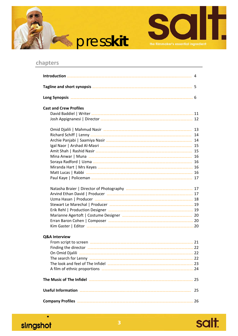



# **chapters**

 $\bullet$ 

slingshot

| <b>Cast and Crew Profiles</b> |    |
|-------------------------------|----|
|                               |    |
|                               |    |
|                               |    |
|                               |    |
|                               |    |
|                               |    |
|                               |    |
|                               |    |
|                               |    |
|                               |    |
|                               |    |
|                               |    |
|                               |    |
|                               |    |
|                               |    |
|                               |    |
|                               |    |
|                               |    |
|                               |    |
|                               |    |
|                               |    |
|                               |    |
| <b>Q&amp;A Interview</b>      |    |
|                               |    |
|                               |    |
| On Omid Djalili               |    |
|                               |    |
|                               |    |
|                               |    |
|                               |    |
|                               | 25 |
|                               |    |
|                               |    |

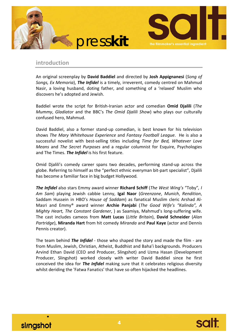



# **introduction**

An original screenplay by **David Baddiel** and directed by **Josh Appignanesi** (*Song of Songs, Ex Memoria*), *The Infidel* is a timely, irreverent, comedy centred on Mahmud Nasir, a loving husband, doting father, and something of a 'relaxed' Muslim who discovers he's adopted and Jewish.

Baddiel wrote the script for British‐Iranian actor and comedian **Omid Djalili** (*The Mummy*, *Gladiator* and the BBC's *The Omid Djalili Show*) who plays our culturally confused hero, Mahmud.

David Baddiel, also a former stand-up comedian, is best known for his television shows *The Mary Whitehouse Experience* and *Fantasy Football League*. He is also a successful novelist with best‐selling titles including *Time for Bed, Whatever Love Means* and *The Secret Purposes* and a regular columnist for Esquire, Psychologies and The Times. *The Infidel* is his first feature.

Omid Djalili's comedy career spans two decades, performing stand‐up across the globe. Referring to himself as the "perfect ethnic everyman bit‐part specialist", Djalili has become a familiar face in big budget Hollywood*.*

*The Infidel* also stars Emmy award winner **Richard Schiff** (*The West Wing's* "Toby"*, I Am Sam*) playing Jewish cabbie Lenny, **Igal Naor** (*Greenzone*, *Munich*, *Rendition*, Saddam Hussein in HBO's *House of Saddam*) as fanatical Muslim cleric Arshad Al‐ Masri and Emmy® award winner **Archie Panjabi** (*The Good Wife's "Kalinda", A Mighty Heart, The Constant Gardener*, ) as Saamiya, Mahmud's long‐suffering wife. The cast includes cameos from **Matt Lucas** (*Little Britain*), **David Schneider** (*Alan Partridge*), **Miranda Hart** from hit comedy *Miranda* and **Paul Kaye** (actor and Dennis Pennis creator).

The team behind *The Infidel* ‐ those who shaped the story and made the film ‐ are from Muslim, Jewish, Christian, Atheist, Buddhist and Baha'i backgrounds. Producers Arvind Ethan David (CEO and Producer, Slingshot) and Uzma Hasan (Development Producer, Slingshot) worked closely with writer David Baddiel since he first conceived the idea for *The Infidel* making sure that it celebrates religious diversity whilst deriding the 'Fatwa Fanatics' that have so often hijacked the headlines.



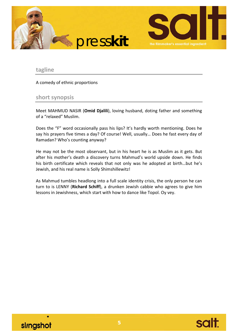

## **tagline**

A comedy of ethnic proportions

## **short synopsis**

Meet MAHMUD NASIR (**Omid Djalili**), loving husband, doting father and something of a "relaxed" Muslim.

Does the "F" word occasionally pass his lips? It's hardly worth mentioning. Does he say his prayers five times a day? Of course! Well, usually… Does he fast every day of Ramadan? Who's counting anyway?

He may not be the most observant, but in his heart he is as Muslim as it gets. But after his mother's death a discovery turns Mahmud's world upside down. He finds his birth certificate which reveals that not only was he adopted at birth…but he's Jewish, and his real name is Solly Shimshillewitz!

As Mahmud tumbles headlong into a full scale identity crisis, the only person he can turn to is LENNY (**Richard Schiff**), a drunken Jewish cabbie who agrees to give him lessons in Jewishness, which start with how to dance like Topol. Oy vey.



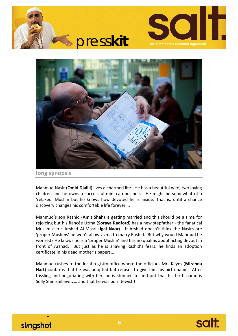





**long synopsis**

Mahmud Nasir (**Omid Djalili**) lives a charmed life. He has a beautiful wife, two loving children and he owns a successful mini cab business. He might be somewhat of a 'relaxed' Muslim but he knows how devoted he is inside. That is, until a chance discovery changes his comfortable life forever….

Mahmud's son Rashid (**Amit Shah**) is getting married and this should be a time for rejoicing but his fiancée Uzma (**Soraya Radford**) has a new stepfather ‐ the fanatical Muslim cleric Arshad Al‐Masri (**Igal Naor**). If Arshad doesn't think the Nasirs are 'proper Muslims' he won't allow Uzma to marry Rashid. But why would Mahmud be worried? He knows he is a 'proper Muslim' and has no qualms about acting devout in front of Arshad. But just as he is allaying Rashid's fears, he finds an adoption certificate in his dead mother's papers…

Mahmud rushes to the local registry office where the officious Mrs Keyes (**Miranda Hart**) confirms that he was adopted but refuses to give him his birth name. After tussling and negotiating with her, he is stunned to find out that his birth name is Solly Shimshillewitz… and that he was born Jewish!



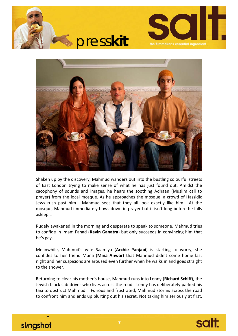





Shaken up by the discovery, Mahmud wanders out into the bustling colourful streets of East London trying to make sense of what he has just found out. Amidst the cacophony of sounds and images, he hears the soothing Adhaan (Muslim call to prayer) from the local mosque. As he approaches the mosque, a crowd of Hassidic Jews rush past him - Mahmud sees that they all look exactly like him. At the mosque, Mahmud immediately bows down in prayer but it isn't long before he falls asleep…

Rudely awakened in the morning and desperate to speak to someone, Mahmud tries to confide in Imam Fahad (**Ravin Ganatra**) but only succeeds in convincing him that he's gay.

Meanwhile, Mahmud's wife Saamiya (**Archie Panjabi**) is starting to worry; she confides to her friend Muna (**Mina Anwar**) that Mahmud didn't come home last night and her suspicions are aroused even further when he walks in and goes straight to the shower.

Returning to clear his mother's house, Mahmud runs into Lenny (**Richard Schiff**), the Jewish black cab driver who lives across the road. Lenny has deliberately parked his taxi to obstruct Mahmud. Furious and frustrated, Mahmud storms across the road to confront him and ends up blurting out his secret. Not taking him seriously at first,



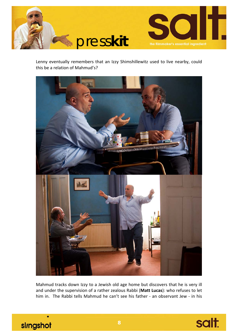

Lenny eventually remembers that an Izzy Shimshillewitz used to live nearby, could this be a relation of Mahmud's?



Mahmud tracks down Izzy to a Jewish old age home but discovers that he is very ill and under the supervision of a rather zealous Rabbi (**Matt Lucas**): who refuses to let him in. The Rabbi tells Mahmud he can't see his father - an observant Jew - in his



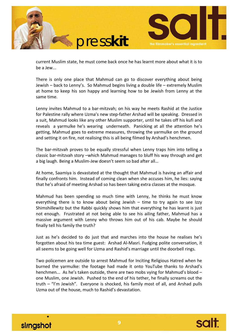



current Muslim state, he must come back once he has learnt more about what it is to be a Jew...

There is only one place that Mahmud can go to discover everything about being Jewish – back to Lenny's. So Mahmud begins living a double life – extremely Muslim at home to keep his son happy and learning how to be Jewish from Lenny at the same time.

Lenny invites Mahmud to a bar-mitzvah; on his way he meets Rashid at the Justice for Palestine rally where Uzma's new step‐father Arshad will be speaking. Dressed in a suit, Mahmud looks like any other Muslim supporter, until he takes off his kufi and reveals a varmulke he's wearing underneath. Panicking at all the attention he's getting, Mahmud goes to extreme measures, throwing the yarmulke on the ground and setting it on fire, not realising this is all being filmed by Arshad's henchmen.

The bar-mitzvah proves to be equally stressful when Lenny traps him into telling a classic bar‐mitzvah story –which Mahmud manages to bluff his way through and get a big laugh. Being a Muslim‐Jew doesn't seem so bad after all…

At home, Saamiya is devastated at the thought that Mahmud is having an affair and finally confronts him. Instead of coming clean when she accuses him, he lies: saying that he's afraid of meeting Arshad so has been taking extra classes at the mosque.

Mahmud has been spending so much time with Lenny, he thinks he must know everything there is to know about being Jewish – time to try again to see Izzy Shimshillewitz but the Rabbi quickly shows him that everything he has learnt is just not enough. Frustrated at not being able to see his ailing father, Mahmud has a massive argument with Lenny who throws him out of his cab. Maybe he should finally tell his family the truth?

Just as he's decided to do just that and marches into the house he realises he's forgotten about his tea time guest: Arshad Al‐Masri. Fudging polite conversation, it all seems to be going well for Uzma and Rashid's marriage until the doorbell rings.

Two policemen are outside to arrest Mahmud for Inciting Religious Hatred when he burned the yarmulke: the footage had made it onto YouTube thanks to Arshad's henchmen... As he's taken outside, there are two mobs vying for Mahmud's blood – one Muslim, one Jewish. Pushed to the end of his tether, he finally screams out the truth – "I'm Jewish". Everyone is shocked, his family most of all, and Arshad pulls Uzma out of the house, much to Rashid's devastation.



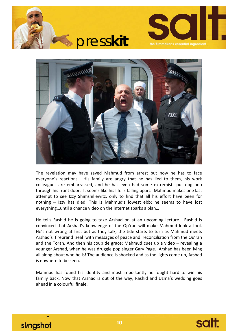





The revelation may have saved Mahmud from arrest but now he has to face everyone's reactions. His family are angry that he has lied to them, his work colleagues are embarrassed, and he has even had some extremists put dog poo through his front door. It seems like his life is falling apart. Mahmud makes one last attempt to see Izzy Shimshillewitz, only to find that all his effort have been for nothing – Izzy has died. This is Mahmud's lowest ebb; he seems to have lost everything…until a chance video on the internet sparks a plan…

He tells Rashid he is going to take Arshad on at an upcoming lecture. Rashid is convinced that Arshad's knowledge of the Qu'ran will make Mahmud look a fool. He's not wrong at first but as they talk, the tide starts to turn as Mahmud meets Arshad's firebrand zeal with messages of peace and reconciliation from the Qu'ran and the Torah. And then his coup de grace: Mahmud cues up a video – revealing a younger Arshad, when he was druggie pop singer Gary Page. Arshad has been lying all along about who he is! The audience is shocked and as the lights come up, Arshad is nowhere to be seen.

Mahmud has found his identity and most importantly he fought hard to win his family back. Now that Arshad is out of the way, Rashid and Uzma's wedding goes ahead in a colourful finale.



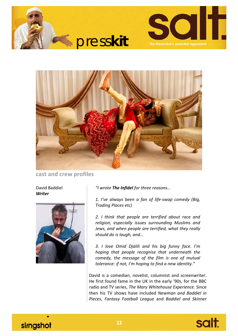





**cast and crew profiles**

David Baddiel *Writer* 



*"I wrote The Infidel for three reasons…*

*1. I've always been a fan of life‐swap comedy (Big, Trading Places etc)*

*2. I think that people are terrified about race and religion, especially issues surrounding Muslims and Jews, and when people are terrified, what they really should do is laugh, and…*

*3. I love Omid Djalili and his big funny face. I'm hoping that people recognise that underneath the comedy, the message of the film is one of mutual tolerance: if not, I'm hoping to find a new identity."*

David is a comedian, novelist, columnist and screenwriter. He first found fame in the UK in the early '90s, for the BBC radio and TV series, *The Mary Whitehouse Experience*. Since then his TV shows have included *Newman and Baddiel in Pieces*, *Fantasy Football League* and *Baddiel and Skinner*



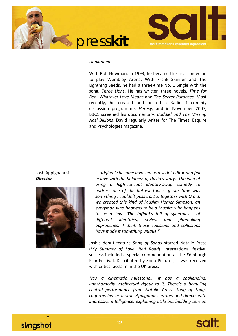



#### *Unplanned*.

With Rob Newman, in 1993, he became the first comedian to play Wembley Arena. With Frank Skinner and The Lightning Seeds, he had a three‐time No. 1 Single with the song, *Three Lions*. He has written three novels, *Time for Bed*, *Whatever Love Means* and *The Secret Purposes*. Most recently, he created and hosted a Radio 4 comedy discussion programme, *Heresy*, and in November 2007, BBC1 screened his documentary, *Baddiel and The Missing Nazi Billions*. David regularly writes for The Times, Esquire and Psychologies magazine.

#### Josh Appignanesi *Director*



*"I originally became involved as a script editor and fell in love with the boldness of David's story. The idea of using a high‐concept identity‐swap comedy to address one of the hottest topics of our time was something I couldn't pass up. So, together with Omid, we created this kind of Muslim Homer Simpson: an everyman who happens to be a Muslim who happens to be a Jew. The Infidel's full of synergies ‐ of different identities, styles, and filmmaking approaches. I think those collisions and collusions have made it something unique."*

Josh's debut feature *Song of Songs* starred Natalie Press (*My Summer of Love*, *Red Road*). International festival success included a special commendation at the Edinburgh Film Festival. Distributed by Soda Pictures, it was received with critical acclaim in the UK press.

*"It's a cinematic milestone… it has a challenging, unashamedly intellectual rigour to it. There's a beguiling central performance from Natalie Press. Song of Songs confirms her as a star. Appignanesi writes and directs with impressive intelligence, explaining little but building tension*



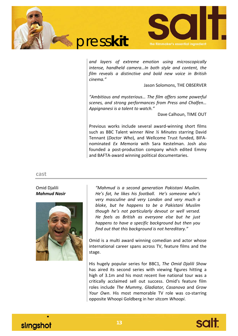



*and layers of extreme emotion using microscopically intense, handheld camera…In both style and content, the film reveals a distinctive and bold new voice in British cinema."*

Jason Solomons, THE OBSERVER

*"Ambitious and mysterious… The film offers some powerful scenes, and strong performances from Press and Chalfen… Appignanesi is a talent to watch."*

Dave Calhoun, TIME OUT

Previous works include several award‐winning short films such as BBC Talent winner *Nine ½ Minutes* starring David Tennant (*Doctor Who*), and Wellcome Trust funded, BIFA‐ nominated *Ex Memoria* with Sara Kestelman. Josh also founded a post‐production company which edited Emmy and BAFTA‐award winning political documentaries.

**cast**

## Omid Djalili *Mahmud Nasir*



*"Mahmud is a second generation Pakistani Muslim. He's fat, he likes his football. He's someone who's very masculine and very London and very much a bloke, but he happens to be a Pakistani Muslim though he's not particularly devout or well versed. He feels as British as everyone else but he just happens to have a specific background but then you find out that this background is not hereditary."* 

Omid is a multi award winning comedian and actor whose international career spans across TV, feature films and the stage.

His hugely popular series for BBC1, *The Omid Djalili Show* has aired its second series with viewing figures hitting a high of 3.1m and his most recent live national tour was a critically acclaimed sell out success. Omid's feature film roles include *The Mummy, Gladiator, Casanova* and *Grow Your Own*. His most memorable TV role was co‐starring opposite Whoopi Goldberg in her sitcom *Whoopi*.

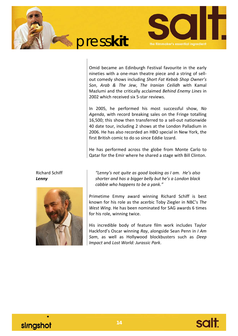



Omid became an Edinburgh Festival favourite in the early nineties with a one‐man theatre piece and a string of sell‐ out comedy shows including *Short Fat Kebab Shop Owner's Son*, *Arab & The Jew*, *The Iranian Ceilidh* with Kamal Mazlumi and the critically acclaimed *Behind Enemy Lines* in 2002 which received six 5‐star reviews.

In 2005, he performed his most successful show, *No Agenda*, with record breaking sales on the Fringe totalling 16,500; this show then transferred to a sell‐out nationwide 40 date tour, including 2 shows at the London Palladium in 2006. He has also recorded an HBO special in New York, the first British comic to do so since Eddie Izzard.

He has performed across the globe from Monte Carlo to Qatar for the Emir where he shared a stage with Bill Clinton.

Richard Schiff *Lenny*



*"Lenny's not quite as good looking as I am. He's also shorter and has a bigger belly but he's a London black cabbie who happens to be a yank."* 

Primetime Emmy award winning Richard Schiff is best known for his role as the acerbic Toby Ziegler in NBC's *The West Wing*. He has been nominated for SAG awards 6 times for his role, winning twice.

His incredible body of feature film work includes Taylor Hackford's Oscar winning *Ray*, alongside Sean Penn in *I Am Sam*, as well as Hollywood blockbusters such as *Deep Impact* and *Lost World: Jurassic Park*.

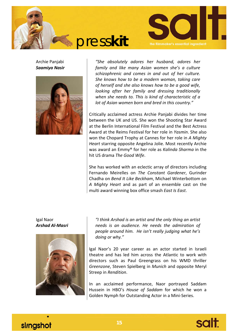



Archie Panjabi *Saamiya Nasir*



*"She absolutely adores her husband, adores her family and like many Asian women she's a culture schizophrenic and comes in and out of her culture. She knows how to be a modern woman, taking care of herself and she also knows how to be a good wife, looking after her family and dressing traditionally when she needs to. This is kind of characteristic of a lot of Asian women born and bred in this country."*

Critically acclaimed actress Archie Panjabi divides her time between the UK and US. She won the Shooting Star Award at the Berlin International Film Festival and the Best Actress Award at the Reims Festival for her role in *Yasmin*. She also won the Chopard Trophy at Cannes for her role in *A Mighty Heart* starring opposite Angelina Jolie. Most recently Archie was award an Emmy® for her role as *Kalinda Sharma* in the hit US drama *The Good Wife*.

She has worked with an eclectic array of directors including Fernando Meirelles on *The Constant Gardener*, Gurinder Chadha on *Bend It Like Beckham*, Michael Winterbottom on *A Mighty Heart* and as part of an ensemble cast on the multi award winning box office smash *East Is East*.

Igal Naor *Arshad Al‐Masri*



*"I think Arshad is an artist and the only thing an artist needs is an audience. He needs the admiration of people around him. He isn't really judging what he's doing or why."* 

Igal Naor's 20 year career as an actor started in Israeli theatre and has led him across the Atlantic to work with directors such as Paul Greengrass on his WMD thriller *Greenzone*, Steven Spielberg in *Munich* and opposite Meryl Streep in *Rendition*.

In an acclaimed performance, Naor portrayed Saddam Hussein in HBO's *House of Saddam* for which he won a Golden Nymph for Outstanding Actor in a Mini‐Series.



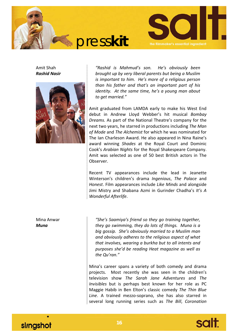



Amit Shah *Rashid Nasir*



*"Rashid is Mahmud's son. He's obviously been brought up by very liberal parents but being a Muslim is important to him. He's more of a religious person than his father and that's an important part of his identity. At the same time, he's a young man about to get married."* 

Amit graduated from LAMDA early to make his West End debut in Andrew Lloyd Webber's hit musical *Bombay Dreams.* As part of the National Theatre's company for the next two years, he starred in productions including *The Man of Mode* and *The Alchemist* for which he was nominated for The Ian Charleson Award. He also appeared in Nina Raine's award winning *Shades* at the Royal Court and Dominic Cook's *Arabian Nights* for the Royal Shakespeare Company. Amit was selected as one of 50 best British actors in The Observer.

Recent TV appearances include the lead in Jeanette Winterson's children's drama *Ingenious*, *The Palace* and *Honest*. Film appearances include *Like Minds* and alongside Jimi Mistry and Shabana Azmi in Gurinder Chadha's *It's A Wonderful Afterlife*.

Mina Anwar *Muna*

*"She's Saamiya's friend so they go training together, they go swimming, they do lots of things. Muna is a big gossip. She's obviously married to a Muslim man and obviously adheres to the religious aspect of what that involves, wearing a burkha but to all intents and purposes she'd be reading Heat magazine as well as the Qu'ran."* 

Mina's career spans a variety of both comedy and drama projects. Most recently she was seen in the children's television show *The Sarah Jane Adventures* and *The Invisibles* but is perhaps best known for her role as PC Maggie Habib in Ben Elton's classic comedy *The Thin Blue Line*. A trained mezzo‐soprano, she has also starred in several long running series such as *The Bill*, *Coronation*



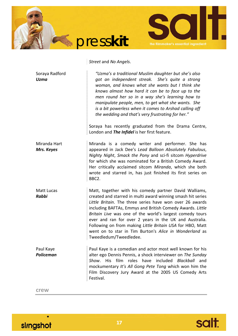



# *Street* and *No Angels*.

| Soraya Radford<br><b>Uzma</b> | "Uzma's a traditional Muslim daughter but she's also<br>got an independent streak. She's quite a strong<br>woman, and knows what she wants but I think she<br>knows almost how hard it can be to face up to the<br>men round her so in a way she's learning how to<br>manipulate people, men, to get what she wants. She<br>is a bit powerless when it comes to Arshad calling off<br>the wedding and that's very frustrating for her."<br>Soraya has recently graduated from the Drama Centre,                       |
|-------------------------------|-----------------------------------------------------------------------------------------------------------------------------------------------------------------------------------------------------------------------------------------------------------------------------------------------------------------------------------------------------------------------------------------------------------------------------------------------------------------------------------------------------------------------|
|                               | London and The Infidel is her first feature.                                                                                                                                                                                                                                                                                                                                                                                                                                                                          |
| Miranda Hart<br>Mrs. Keyes    | Miranda is a comedy writer and performer. She has<br>appeared in Jack Dee's Lead Balloon Absolutely Fabulous,<br>Nighty Night, Smack the Pony and sci-fi sitcom Hyperdrive<br>for which she was nominated for a British Comedy Award.<br>Her critically acclaimed sitcom Miranda, which she both<br>wrote and starred in, has just finished its first series on<br>BBC2.                                                                                                                                              |
| Matt Lucas<br><b>Rabbi</b>    | Matt, together with his comedy partner David Walliams,<br>created and starred in multi award winning smash hit series<br>Little Britain. The three series have won over 26 awards<br>including BAFTAs, Emmys and British Comedy Awards. Little<br>Britain Live was one of the world's largest comedy tours<br>ever and ran for over 2 years in the UK and Australia.<br>Following on from making Little Britain USA for HBO, Matt<br>went on to star in Tim Burton's Alice in Wonderland as<br>Tweedledum/Tweedledee. |
| Paul Kaye<br>Policeman        | Paul Kaye is a comedian and actor most well known for his<br>alter ego Dennis Pennis, a shock interviewer on The Sunday<br>film roles have included Blackball<br>Show. His<br>and<br>mockumentary It's All Gong Pete Tong which won him the<br>Film Discovery Jury Award at the 2005 US Comedy Arts<br>Festival.                                                                                                                                                                                                      |
| crew                          |                                                                                                                                                                                                                                                                                                                                                                                                                                                                                                                       |

slingshot

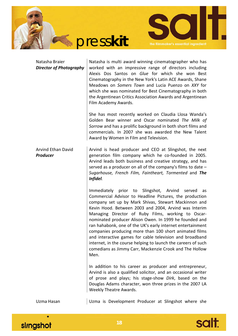



| Natasha Braier<br><b>Director of Photography</b> | Natasha is multi award winning cinematographer who has<br>worked with an impressive range of directors including<br>Alexis Dos Santos on Glue for which she won Best<br>Cinematography in the New York's Latin ACE Awards, Shane<br>Meadows on Somers Town and Lucia Puenzo on XXY for<br>which she was nominated for Best Cinematography in both<br>the Argentinean Critics Association Awards and Argentinean<br>Film Academy Awards.                                                                                                                                                                                                                                    |
|--------------------------------------------------|----------------------------------------------------------------------------------------------------------------------------------------------------------------------------------------------------------------------------------------------------------------------------------------------------------------------------------------------------------------------------------------------------------------------------------------------------------------------------------------------------------------------------------------------------------------------------------------------------------------------------------------------------------------------------|
|                                                  | She has most recently worked on Claudia Llosa Wanda's<br>Golden Bear winner and Oscar nominated The Milk of<br>Sorrow and has a prolific background in both short films and<br>commercials. In 2007 she was awarded the New Talent<br>Award by Women in Film and Television.                                                                                                                                                                                                                                                                                                                                                                                               |
| <b>Arvind Ethan David</b><br><b>Producer</b>     | Arvind is head producer and CEO at Slingshot, the next<br>generation film company which he co-founded in 2005.<br>Arvind leads both business and creative strategy, and has<br>served as a producer on all of the company's films to date $-$<br>Sugarhouse, French Film, Faintheart, Tormented and The<br>Infidel.                                                                                                                                                                                                                                                                                                                                                        |
|                                                  | Immediately prior to Slingshot, Arvind<br>served<br>as<br>Commercial Advisor to Headline Pictures, the production<br>company set up by Mark Shivas, Stewart Mackinnon and<br>Kevin Hood. Between 2003 and 2004, Arvind was Interim<br>Managing Director of Ruby Films, working to Oscar-<br>nominated producer Alison Owen. In 1999 he founded and<br>ran hahabonk, one of the UK's early internet entertainment<br>companies producing more than 100 short animated films<br>and interactive games for cable television and broadband<br>internet, in the course helping to launch the careers of such<br>comedians as Jimmy Carr, Mackenzie Crook and The Hollow<br>Men. |
|                                                  | In addition to his career as producer and entrepreneur,<br>Arvind is also a qualified solicitor, and an occasional writer<br>of prose and plays; his stage-show Dirk, based on the<br>Douglas Adams character, won three prizes in the 2007 LA<br>Weekly Theatre Awards.                                                                                                                                                                                                                                                                                                                                                                                                   |
| Uzma Hasan                                       | Uzma is Development Producer at Slingshot where she                                                                                                                                                                                                                                                                                                                                                                                                                                                                                                                                                                                                                        |

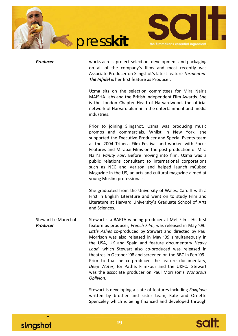



*Producer* works across project selection, development and packaging on all of the company's films and most recently was Associate Producer on Slingshot's latest feature *Tormented*. *The Infidel* is her first feature as Producer.

Uzma sits on the selection committees for Mira Nair's MAISHA Labs and the British Independent Film Awards. She is the London Chapter Head of Harvardwood, the official network of Harvard alumni in the entertainment and media industries.

Prior to joining Slingshot, Uzma was producing music promos and commercials. Whilst in New York, she supported the Executive Producer and Special Events team at the 2004 Tribeca Film Festival and worked with Focus Features and Mirabai Films on the post production of Mira Nair's *Vanity Fair*. Before moving into film, Uzma was a public relations consultant to international corporations such as NEC and Verizon and helped launch mCubed Magazine in the US, an arts and cultural magazine aimed at young Muslim professionals.

She graduated from the University of Wales, Cardiff with a First in English Literature and went on to study Film and Literature at Harvard University's Graduate School of Arts and Sciences.

Stewart Le Marechal *Producer* Stewart is a BAFTA winning producer at Met Film. His first feature as producer, *French Film*, was released in May '09. *Little Ashes* co‐produced by Stewart and directed by Paul Morrison was also released in May '09 simultaneously in the USA, UK and Spain and feature documentary *Heavy* Load, which Stewart also co-produced was released in theatres in October '08 and screened on the BBC in Feb '09. Prior to that he co-produced the feature documentary, *Deep Water*, for Pathé, FilmFour and the UKFC. Stewart was the associate producer on Paul Morrison's *Wondrous Oblivion*.

> Stewart is developing a slate of features including *Foxglove* written by brother and sister team, Kate and Ornette Spenceley which is being financed and developed through

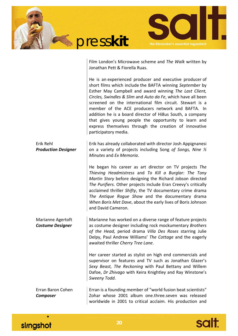



Film London's Microwave scheme and *The Walk* written by

|                                              | Jonathan Pett & Fiorella Ruas.                                                                                                                                                                                                                                                                                                                                                                                                                                                                                                                                       |
|----------------------------------------------|----------------------------------------------------------------------------------------------------------------------------------------------------------------------------------------------------------------------------------------------------------------------------------------------------------------------------------------------------------------------------------------------------------------------------------------------------------------------------------------------------------------------------------------------------------------------|
|                                              | He is an experienced producer and executive producer of<br>short films which include the BAFTA winning September by<br>Esther May Campbell and award winning The Last Client,<br>Circles, Swindles & Slim and Auto da Fe, which have all been<br>screened on the international film circuit. Stewart is a<br>member of the ACE producers network and BAFTA. In<br>addition he is a board director of Hi8us South, a company<br>that gives young people the opportunity to learn and<br>express themselves through the creation of innovative<br>participatory media. |
| Erik Rehl<br><b>Production Designer</b>      | Erik has already collaborated with director Josh Appignanesi<br>on a variety of projects including Song of Songs, Nine 1/2<br>Minutes and Ex Memoria.                                                                                                                                                                                                                                                                                                                                                                                                                |
|                                              | He began his career as art director on TV projects The<br>Thieving Headmistress and To Kill a Burglar: The Tony<br>Martin Story before designing the Richard Jobson directed<br>The Purifiers. Other projects include Eran Creevy's critically<br>acclaimed thriller Shifty, the TV documentary crime drama<br>The Antique Rogue Show and the documentary drama<br>When Boris Met Dave, about the early lives of Boris Johnson<br>and David Cameron.                                                                                                                 |
| Marianne Agertoft<br><b>Costume Designer</b> | Marianne has worked on a diverse range of feature projects<br>as costume designer including rock mockumentary Brothers<br>of the Head, period drama Villa Des Roses starring Julie<br>Delpy, Paul Andrew Williams' The Cottage and the eagerly<br>awaited thriller Cherry Tree Lane.                                                                                                                                                                                                                                                                                 |
|                                              | Her career started as stylist on high end commercials and<br>supervisor on features and TV such as Jonathan Glazer's<br>Sexy Beast, The Reckoning with Paul Bettany and Willem<br>Dafoe, Dr Zhivago with Keira Knightley and Ray Winstone's<br>Sweeny Todd.                                                                                                                                                                                                                                                                                                          |
| Erran Baron Cohen<br><b>Composer</b>         | Erran is a founding member of "world fusion beat scientists"<br>Zohar whose 2001 album one.three.seven was released<br>worldwide in 2001 to critical acclaim. His production and                                                                                                                                                                                                                                                                                                                                                                                     |



 $\bullet$ 

slingshot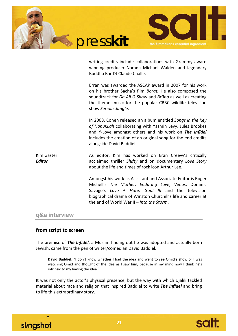|                                    | presskit<br>the filmmaker's essential ingredient                                                                                                                                                                                                                              |
|------------------------------------|-------------------------------------------------------------------------------------------------------------------------------------------------------------------------------------------------------------------------------------------------------------------------------|
|                                    | writing credits include collaborations with Grammy award<br>winning producer Narada Michael Walden and legendary<br>Buddha Bar DJ Claude Challe.                                                                                                                              |
|                                    | Erran was awarded the ASCAP award in 2007 for his work<br>on his brother Sacha's film Borat. He also composed the<br>soundtrack for Da Ali G Show and Brüno as well as creating<br>the theme music for the popular CBBC wildlife television<br>show Serious Jungle.           |
|                                    | In 2008, Cohen released an album entitled Songs in the Key<br>of Hanukkah collaborating with Yasmin Levy, Jules Brookes<br>and Y-Love amongst others and his work on The Infidel<br>includes the creation of an original song for the end credits<br>alongside David Baddiel. |
| <b>Kim Gaster</b><br><b>Editor</b> | As editor, Kim has worked on Eran Creevy's critically<br>acclaimed thriller Shifty and on documentary Love Story<br>about the life and times of rock icon Arthur Lee.                                                                                                         |
|                                    | Amongst his work as Assistant and Associate Editor is Roger                                                                                                                                                                                                                   |

Michell's *The Mother, Enduring Love, Venus*, Dominic Savage's *Love + Hate, Goal III* and the television biographical drama of Winston Churchill's life and career at the end of World War II – *Into the Storm*.

## **q&a interview**

#### **from script to screen**

The premise of *The Infidel*, a Muslim finding out he was adopted and actually born Jewish, came from the pen of writer/comedian David Baddiel.

**David Baddiel**: "I don't know whether I had the idea and went to see Omid's show or I was watching Omid and thought of the idea as I saw him, because in my mind now I think he's intrinsic to my having the idea."

It was not only the actor's physical presence, but the way with which Djalili tackled material about race and religion that inspired Baddiel to write *The Infidel* and bring to life this extraordinary story.



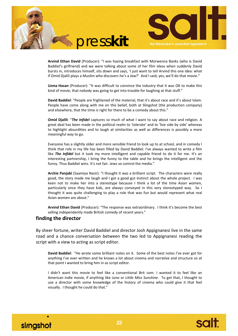



**Arvind Ethan David** (Producer): "I was having breakfast with Morwenna Banks (who is David Baddiel's girlfriend) and we were talking about some of her film ideas when suddenly David bursts in, introduces himself, sits down and says, 'I just want to tell Arvind this one idea: what if Omid Djalili plays a Muslim who discovers he's a Jew?' And I said, yes, we'll do that movie."

**Uzma Hasan** (Producer): "It was difficult to convince the industry that it was OK to make this kind of movie, that nobody was going to get into trouble for laughing at that stuff."

**David Baddiel**: "People are frightened of the material, that it's about race and it's about Islam. People have come along with me on this belief, both at Slingshot (the production company) and elsewhere, that the time is right for there to be a comedy about this."

**Omid Djalili**: "*The Infidel* captures so much of what I want to say about race and religion. A great deal has been made in the political realm to 'tolerate' and to 'live side by side' whereas to highlight absurdities and to laugh at similarities as well as differences is possibly a more meaningful way to go.

Everyone has a slightly older and more sensible friend to look up to at school, and in comedy I think that role in my life has been filled by David Baddiel. I've always wanted to write a film like *The Infidel* but it took my more intelligent and capable friend to do it for me. It's an interesting partnership, I bring the funny to the table and he brings the intelligent and the funny. Thus Baddiel wins. It's not fair. Jews so control the media."

**Archie Panjabi** (Saamiya Nasir): "I thought it was a brilliant script. The characters were really good, the story made me laugh and I got a good gut instinct about the whole project. I was keen not to make her into a stereotype because I think a lot of the time Asian women, particularly once they have kids, are always conveyed in this very stereotyped way. So I thought it was quite challenging to play a role that was fun but would represent what real Asian women are about."

**Arvind Ethan David** (Producer): "The response was extraordinary. I think it's become the best selling independently made British comedy of recent years."

#### **finding the director**

By sheer fortune, writer David Baddiel and director Josh Appignanesi live in the same road and a chance conversation between the two led to Appignanesi reading the script with a view to acting as script editor.

**David Baddiel**: "He wrote some brilliant notes on it. Some of the best notes I've ever got for anything I've ever written and he knows a lot about cinema and narrative and structure so at that point I wanted to bring him in as script editor.

I didn't want this movie to feel like a conventional Brit com. I wanted it to feel like an American indie movie, if anything like *Juno* or *Little Miss Sunshine*. To get that, I thought to use a director with some knowledge of the history of cinema who could give it that feel visually. I thought he could do that."



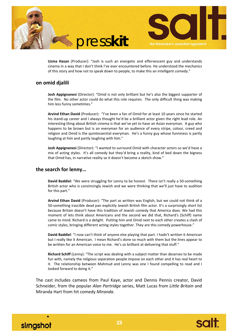



**Uzma Hasan** (Producer): "Josh is such an energetic and effervescent guy and understands cinema in a way that I don't think I've ever encountered before. He understood the mechanics of this story and how not to speak down to people, to make this an intelligent comedy."

## **on omid djalili**

**Josh Appignanesi** (Director): "Omid is not only brilliant but he's also the biggest supporter of the film. No other actor could do what this role requires. The only difficult thing was making him less funny sometimes."

**Arvind Ethan David** (Producer): "I've been a fan of Omid for at least 10 years since he started his stand-up career and I always thought he'd be a brilliant actor given the right lead role. An interesting thing about British cinema is that we've yet to have an Asian everyman. A guy who happens to be brown but is an everyman for an audience of every stripe, colour, creed and religion and Omid is the quintessential everyman. He's a funny guy whose funniness is partly laughing at him and partly laughing with him."

**Josh Appignanesi** (Director): "I wanted to surround Omid with character actors so we'd have a mix of acting styles. It's all comedy but they'd bring a reality, kind of bed down the bigness that Omid has, in narrative reality so it doesn't become a sketch show."

#### **the search for lenny…**

**David Baddiel**: "We were struggling for Lenny to be honest. There isn't really a 50‐something British actor who is convincingly Jewish and we were thinking that we'll just have to audition for this part."

**Arvind Ethan David** (Producer): "The part as written was English, but we could not think of a 50-something irascible dead pan explicitly Jewish British film actor. It's a surprisingly short list because Britain doesn't have this tradition of Jewish comedy that America does. We had this moment of lets think about Americans and the second we did that, Richard's (Schiff) name came to mind. Richard is a delight. Putting him and Omid next to each other creates a clash of comic styles, bringing different acting styles together. They are this comedy powerhouse."

**David Baddiel**: "I now can't think of anyone else playing that part. I hadn't written it American but I really like it American. I mean Richard's done so much with them but the lines appear to be written for an American voice to me. He's so brilliant at delivering that stuff."

**Richard Schiff** (Lenny): "The script was dealing with a subject matter than deserves to be made fun with, namely the religious separation people impose on each other and it has real heart to it. The relationship between Mahmud and Lenny was one I found compelling to read and I looked forward to doing it."

The cast includes cameos from Paul Kaye, actor and Dennis Pennis creator, David Schneider, from the popular *Alan Partridge* series, Matt Lucas from *Little Britain* and Miranda Hart from hit comedy *Miranda*.



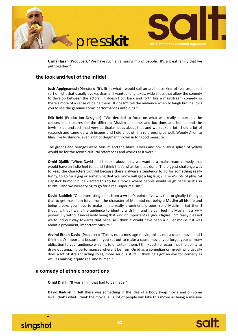



**Uzma Hasan** (Producer): "We have such an amazing mix of people. It's a great family that we put together."

# **the look and feel of the infidel**

**Josh Appignanesi** (Director): "It's lit in what I would call an art house kind of realism, a soft sort of light that usually evokes drama. I wanted long takes, wide shots that allow the comedy to develop between the actors. It doesn't cut back and forth like a mainstream comedy so there's more of a sense of being there. It doesn't tell the audience when to laugh but it allows you to see the genuine comic performances unfolding."

**Erik Rehl** (Production Designer): "We decided to focus on what was really important, the colours and textures for the different Muslim elements and locations and homes and the Jewish side and Josh had very particular ideas about that and we spoke a lot. I did a lot of research and came up with images and I did a lot of film referencing as well, Woody Allen to films like Rushmore, even a bit of Bergman thrown in for good measure.

The greens and oranges were Muslim and the blues, silvers and obviously a splash of yellow would be for the Jewish cultural references and worlds as it were."

**Omid Djalili**: "When David and I spoke about this, we wanted a mainstream comedy that would have an indie feel to it and I think that's what Josh has done. The biggest challenge was to keep the characters truthful because there's always a tendency to go for something really funny, to go for a gag or something that you know will get a big laugh. There's lots of physical slapstick humour but I wanted this to be a movie where people would laugh because it's so truthful and we were trying to go for a real super realism."

**David Baddiel**: "One interesting point from a writer's point of view is that originally I thought that to get maximum force from the character of Mahmud not being a Muslim all his life and being a Jew, you have to make him a really prominent, proper, solid Muslim. But then I thought, that I want the audience to identify with him and he can feel his Muslimness very powerfully without necessarily being that kind of important religious figure. I'm really pleased we found our way towards that because I think it would have been a duller movie if it was about a prominent, important Muslim."

**Arvind Ethan David** (Producer): "This is not a message movie, this is not a cause movie and I think that's important because if you set out to make a cause movie, you forget your primary obligation to your audience which is to entertain them. I think Josh (director) has the ability to draw out amazing performances where it be from Omid as a comedian or myself who usually does a lot of straight acting roles, more serious stuff. I think he's got an eye for comedy as well as making it quite real and human."

## **a comedy of ethnic proportions**

**Omid Djalili**: "It was a film that had to be made."

**David Baddiel**: "I felt there was something in the idea of a body swap movie and on some level, that's what I think the movie is. A lot of people will take this movie as being a massive



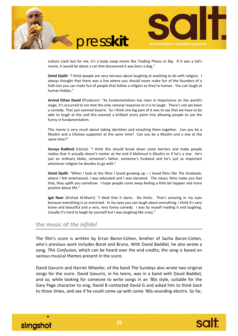



culture clash but for me, it's a body swap movie like *Trading Places* or *Big*. If it was a kid's movie, it would be about a cat that discovered it was born a dog."

**Omid Djalili**: "I think people are very nervous about laughing at anything to do with religion. I always thought that there was a line where you should never make fun of the founders of a faith but you can make fun of people that follow a religion as they're human. You can laugh at human foibles."

**Arvind Ethan David** (Producer): "As fundamentalism has risen in importance on the world's stage, it's occurred to me that the only rational response to it is to laugh. There's not yet been a comedy. That just seemed bizarre. So I think one big part of it was to say that we have to be able to laugh at this and this seemed a brilliant entry point into allowing people to see the funny in fundamentalism.

This movie is very much about taking identities and smashing them together. Can you be a Muslim and a Chelsea supporter at the same time? Can you be a Muslim and a Jew at the same time?"

**Soraya Radford** (Uzma): "I think this should break down some barriers and make people realise that it actually doesn't matter at the end if Mahmud is Muslim or if he's a Jew. He's just an ordinary bloke, someone's father, someone's husband and he's just as important whichever religion he decides to go with."

**Omid Djalili**: "When I look at the films I loved growing up – I loved films like *The Graduate*, where I felt entertained, I was educated and I was elevated. The classic films make you feel that, they uplift you somehow. I hope people come away feeling a little bit happier and more positive about life."

**Igal Naor** (Arshad Al‐Masri): "I liked that it dares. No limits. That's amazing in my eyes because everything is so restricted. In my eyes you can laugh about everything. I think it's very brave and beautiful and a very, very funny comedy. I was by myself reading it and laughing. Usually it's hard to laugh by yourself but I was laughing like crazy."

#### **the music of** *the infidel*

The film's score is written by Erran Baron‐Cohen, brother of Sacha Baron‐Cohen, who's previous work includes Borat and Bruno. With David Baddiel, he also wrote a song, *This Confusion*, which can be heard over the end credits; the song is based on various musical themes present in the score.

David Gavurin and Harriet Wheeler, of the band The Sundays also wrote two original songs for the score. David Gavurin, in his teens, was in a band with David Baddiel, and so, while looking for someone to write songs in an '80s style, suitable for the Gary Page character to sing, David B contacted David G and asked him to think back to those times, and see if he could come up with some '80s‐sounding electro. So far,



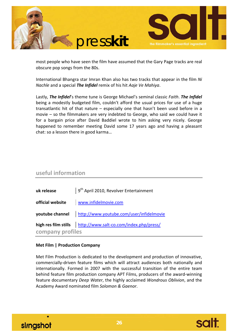

most people who have seen the film have assumed that the Gary Page tracks are real obscure pop songs from the 80s.

International Bhangra star Imran Khan also has two tracks that appear in the film *Ni Nachle* and a special *The Infidel* remix of his hit *Aaje Ve Mahiya*.

Lastly, *The Infidel*'s theme tune is George Michael's seminal classic *Faith*. *The Infidel* being a modestly budgeted film, couldn't afford the usual prices for use of a huge transatlantic hit of that nature – especially one that hasn't been used before in a movie – so the filmmakers are very indebted to George, who said we could have it for a bargain price after David Baddiel wrote to him asking very nicely. George happened to remember meeting David some 17 years ago and having a pleasant chat: so a lesson there in good karma…

# **useful information**

| uk release       | $\frac{1}{2}$ 9 <sup>th</sup> April 2010, Revolver Entertainment |
|------------------|------------------------------------------------------------------|
|                  | official website vww.infidelmovie.com                            |
|                  | youtube channel http://www.youtube.com/user/infidelmovie         |
|                  | high res film stills   http://www.salt-co.com/index.php/press/   |
| company profiles |                                                                  |

#### **Met Film | Production Company**

Met Film Production is dedicated to the development and production of innovative, commercially‐driven feature films which will attract audiences both nationally and internationally. Formed in 2007 with the successful transition of the entire team behind feature film production company APT Films, producers of the award‐winning feature documentary *Deep Water*, the highly acclaimed *Wondrous Oblivion*, and the Academy Award nominated film *Solomon & Gaenor*.



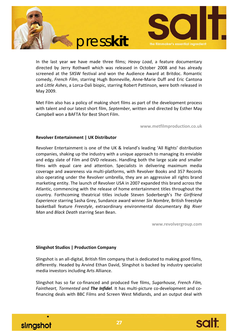



In the last year we have made three films; *Heavy Load*, a feature documentary directed by Jerry Rothwell which was released in October 2008 and has already screened at the SXSW festival and won the Audience Award at Britdoc. Romantic comedy, *French Film*, starring Hugh Bonneville, Anne‐Marie Duff and Eric Cantona and *Little Ashes*, a Lorca‐Dali biopic, starring Robert Pattinson, were both released in May 2009.

Met Film also has a policy of making short films as part of the development process with talent and our latest short film, *September*, written and directed by Esther May Campbell won a BAFTA for Best Short Film.

**www.metfilmproduction.co.uk**

#### **Revolver Entertainment | UK Distributor**

Revolver Entertainment is one of the UK & Ireland's leading 'All Rights' distribution companies, shaking up the industry with a unique approach to managing its enviable and edgy slate of Film and DVD releases. Handling both the large scale and smaller films with equal care and attention. Specialists in delivering maximum media coverage and awareness via multi‐platforms, with Revolver Books and 357 Records also operating under the Revolver umbrella, they are an aggressive all rights brand marketing entity. The launch of Revolver USA in 2007 expanded this brand across the Atlantic, commencing with the release of home entertainment titles throughout the country. Forthcoming theatrical titles include Steven Soderbergh's *The Girlfriend Experience* starring Sasha Grey, Sundance award winner *Sin Nombre*, British freestyle basketball feature *Freestyle*, extraordinary environmental documentary *Big River Man* and *Black Death* starring Sean Bean.

**www.revolvergroup.com**

#### **Slingshot Studios | Production Company**

Slingshot is an all‐digital, British film company that is dedicated to making good films, differently. Headed by Arvind Ethan David, Slingshot is backed by industry specialist media investors including Arts Alliance.

Slingshot has so far co‐financed and produced five films, *Sugarhouse, French Film, Faintheart, Tormented and The Infidel*. It has multi‐picture co‐development and co‐ financing deals with BBC Films and Screen West Midlands, and an output deal with